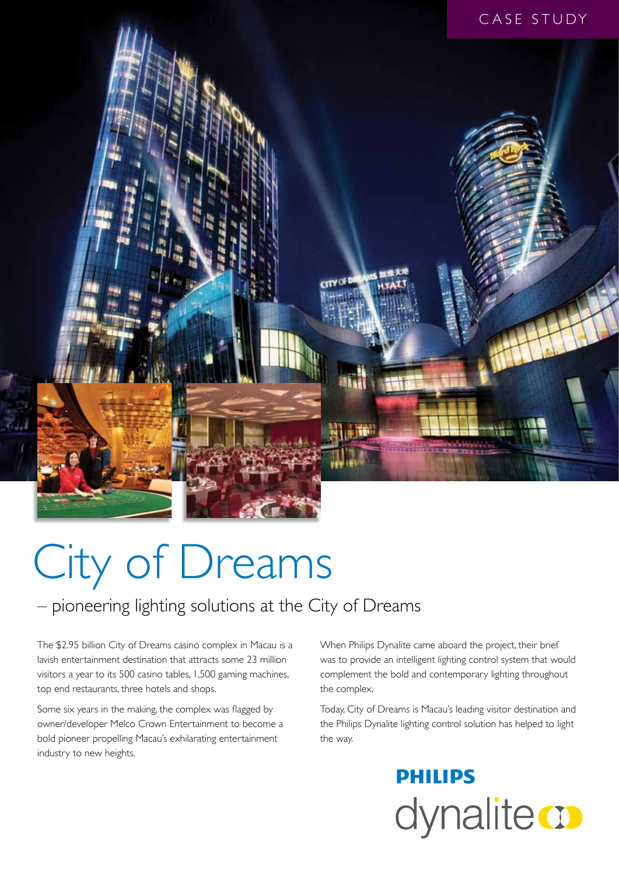

# City of Dreams

### – pioneering lighting solutions at the City of Dreams

The \$2.95 billion City of Dreams casino complex in Macau is a lavish entertainment destination that attracts some 23 million visitors a year to its 500 casino tables, 1,500 gaming machines, top end restaurants, three hotels and shops.

Some six years in the making, the complex was flagged by owner/developer Melco Crown Entertainment to become a bold pioneer propelling Macau's exhilarating entertainment industry to new heights.

When Philips Dynalite came aboard the project, their brief was to provide an intelligent lighting control system that would complement the bold and contemporary lighting throughout the complex.

Today, City of Dreams is Macau's leading visitor destination and the Philips Dynalite lighting control solution has helped to light the way.

> **PHILIPS** dynalite **o**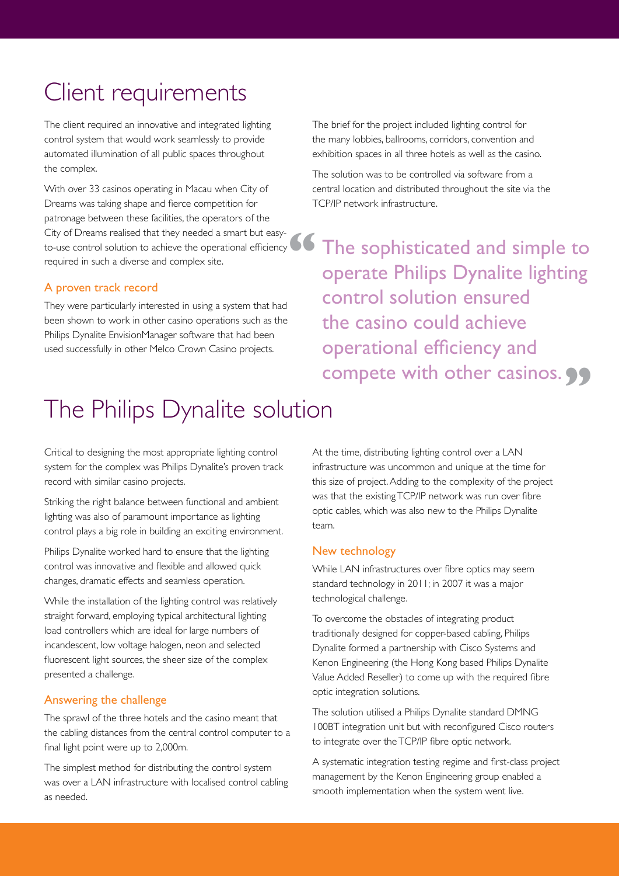# Client requirements

The client required an innovative and integrated lighting control system that would work seamlessly to provide automated illumination of all public spaces throughout the complex.

With over 33 casinos operating in Macau when City of Dreams was taking shape and fierce competition for patronage between these facilities, the operators of the City of Dreams realised that they needed a smart but easyto-use control solution to achieve the operational efficiency required in such a diverse and complex site.

#### A proven track record

They were particularly interested in using a system that had been shown to work in other casino operations such as the Philips Dynalite EnvisionManager software that had been used successfully in other Melco Crown Casino projects.

The brief for the project included lighting control for the many lobbies, ballrooms, corridors, convention and exhibition spaces in all three hotels as well as the casino.

The solution was to be controlled via software from a central location and distributed throughout the site via the TCP/IP network infrastructure.

The sophisticated and simple to operate Philips Dynalite lighting control solution ensured the casino could achieve operational efficiency and compete with other casinos. 99 **"**

# The Philips Dynalite solution

Critical to designing the most appropriate lighting control system for the complex was Philips Dynalite's proven track record with similar casino projects.

Striking the right balance between functional and ambient lighting was also of paramount importance as lighting control plays a big role in building an exciting environment.

Philips Dynalite worked hard to ensure that the lighting control was innovative and flexible and allowed quick changes, dramatic effects and seamless operation.

While the installation of the lighting control was relatively straight forward, employing typical architectural lighting load controllers which are ideal for large numbers of incandescent, low voltage halogen, neon and selected fluorescent light sources, the sheer size of the complex presented a challenge.

#### Answering the challenge

The sprawl of the three hotels and the casino meant that the cabling distances from the central control computer to a final light point were up to 2,000m.

The simplest method for distributing the control system was over a LAN infrastructure with localised control cabling as needed.

At the time, distributing lighting control over a LAN infrastructure was uncommon and unique at the time for this size of project. Adding to the complexity of the project was that the existing TCP/IP network was run over fibre optic cables, which was also new to the Philips Dynalite team.

#### New technology

While LAN infrastructures over fibre optics may seem standard technology in 2011; in 2007 it was a major technological challenge.

To overcome the obstacles of integrating product traditionally designed for copper-based cabling, Philips Dynalite formed a partnership with Cisco Systems and Kenon Engineering (the Hong Kong based Philips Dynalite Value Added Reseller) to come up with the required fibre optic integration solutions.

The solution utilised a Philips Dynalite standard DMNG 100BT integration unit but with reconfigured Cisco routers to integrate over the TCP/IP fibre optic network.

A systematic integration testing regime and first-class project management by the Kenon Engineering group enabled a smooth implementation when the system went live.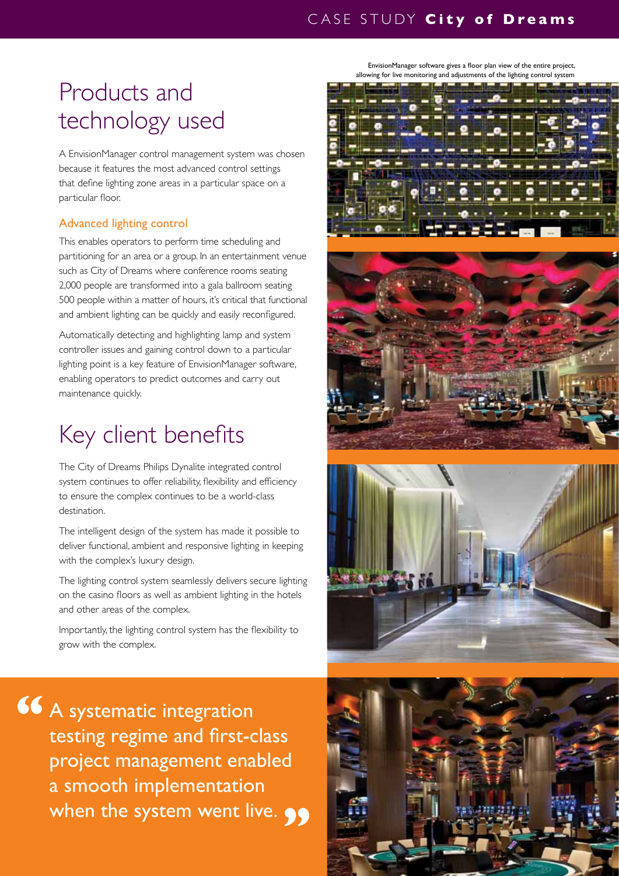## Products and technology used

A EnvisionManager control management system was chosen because it features the most advanced control settings that define lighting zone areas in a particular space on a particular floor.

### Advanced lighting control

This enables operators to perform time scheduling and partitioning for an area or a group. In an entertainment venue such as City of Dreams where conference rooms seating 2,000 people are transformed into a gala ballroom seating 500 people within a matter of hours, it's critical that functional and ambient lighting can be quickly and easily reconfigured.

Automatically detecting and highlighting lamp and system controller issues and gaining control down to a particular lighting point is a key feature of EnvisionManager software, enabling operators to predict outcomes and carry out maintenance quickly.

# Key client benefits

The City of Dreams Philips Dynalite integrated control system continues to offer reliability, flexibility and efficiency to ensure the complex continues to be a world-class destination.

The intelligent design of the system has made it possible to deliver functional, ambient and responsive lighting in keeping with the complex's luxury design.

The lighting control system seamlessly delivers secure lighting on the casino floors as well as ambient lighting in the hotels and other areas of the complex.

Importantly, the lighting control system has the flexibility to grow with the complex.

A systematic integration testing regime and first-class project management enabled a smooth implementation when the system went live. **99 "**

EnvisionManager software gives a floor plan view of the entire project, allowing for live monitoring and adjustments of the lighting control system